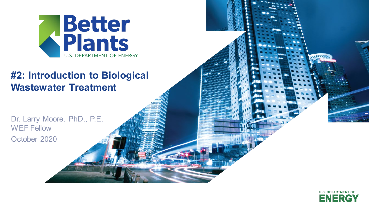

#### **Wastewater Treatment #2: Introduction to Biological**

Dr. Larry Moore, PhD., P.E. WEF Fellow October 2020



 $\frac{1}{1}$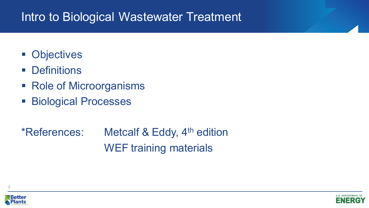#### Intro to Biological Wastewater Treatment

- **Objectives**
- **Definitions**
- Role of Microorganisms
- **Biological Processes**

\*References: Metcalf & Eddy, 4<sup>th</sup> edition WEF training materials





2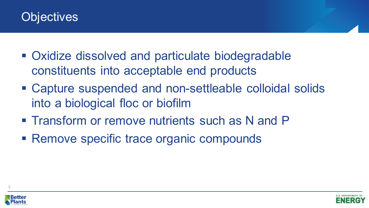#### **Objectives**

- Oxidize dissolved and particulate biodegradable constituents into acceptable end products
- Capture suspended and non-settleable colloidal solids into a biological floc or biofilm
- **Transform or remove nutrients such as N and P**
- Remove specific trace organic compounds



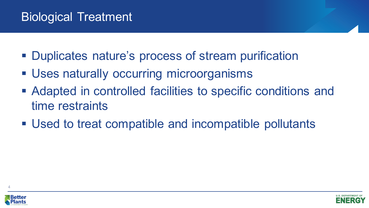### Biological Treatment

- **Duplicates nature's process of stream purification**
- Uses naturally occurring microorganisms
- Adapted in controlled facilities to specific conditions and time restraints
- Used to treat compatible and incompatible pollutants





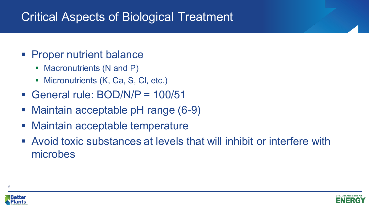## Critical Aspects of Biological Treatment

- **Proper nutrient balance** 
	- Macronutrients (N and P)
	- **Micronutrients (K, Ca, S, Cl, etc.)**
- General rule: BOD/N/P = 100/51
- Maintain acceptable pH range (6-9)
- Maintain acceptable temperature
- Avoid toxic substances at levels that will inhibit or interfere with microbes



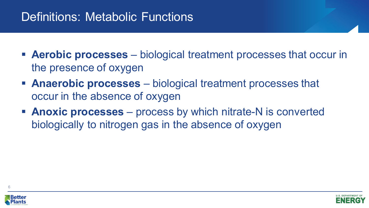## Definitions: Metabolic Functions

- **Aerobic processes**  biological treatment processes that occur in the presence of oxygen
- **Anaerobic processes**  biological treatment processes that occur in the absence of oxygen
- **Anoxic processes**  process by which nitrate-N is converted biologically to nitrogen gas in the absence of oxygen



6



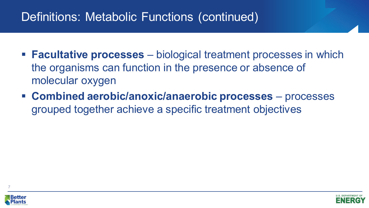#### Definitions: Metabolic Functions (continued)

- **Facultative processes** biological treatment processes in which the organisms can function in the presence or absence of molecular oxygen
- **Combined aerobic/anoxic/anaerobic processes**  processes grouped together achieve a specific treatment objectives



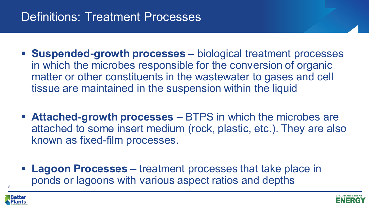### Definitions: Treatment Processes

- **Suspended-growth processes**  biological treatment processes in which the microbes responsible for the conversion of organic matter or other constituents in the wastewater to gases and cell tissue are maintained in the suspension within the liquid
- **Attached-growth processes**  BTPS in which the microbes are attached to some insert medium (rock, plastic, etc.). They are also known as fixed-film processes.
- **Lagoon Processes**  treatment processes that take place in ponds or lagoons with various aspect ratios and depths 8



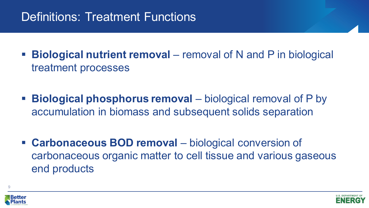## Definitions: Treatment Functions

- **Biological nutrient removal** removal of N and P in biological treatment processes
- **Biological phosphorus removal** biological removal of P by accumulation in biomass and subsequent solids separation
- **Carbonaceous BOD removal** biological conversion of carbonaceous organic matter to cell tissue and various gaseous end products



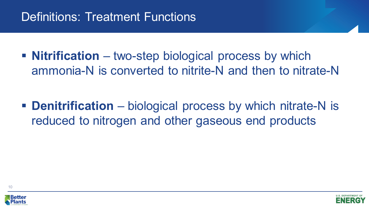## Definitions: Treatment Functions

**Nitrification** – two-step biological process by which ammonia-N is converted to nitrite-N and then to nitrate-N

**Denitrification** – biological process by which nitrate-N is reduced to nitrogen and other gaseous end products





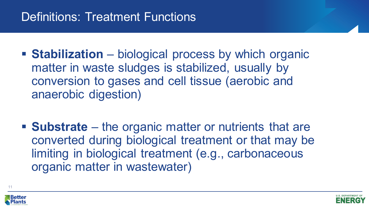## Definitions: Treatment Functions

- **Stabilization** biological process by which organic matter in waste sludges is stabilized, usually by conversion to gases and cell tissue (aerobic and anaerobic digestion)
- **Substrate** the organic matter or nutrients that are converted during biological treatment or that may be limiting in biological treatment (e.g., carbonaceous organic matter in wastewater)



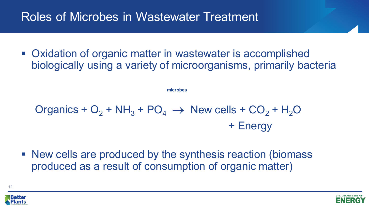## Roles of Microbes in Wastewater Treatment

■ Oxidation of organic matter in wastewater is accomplished biologically using a variety of microorganisms, primarily bacteria

**microbes**

Organics +  $O_2$  + NH<sub>3</sub> + PO<sub>4</sub>  $\rightarrow$  New cells + CO<sub>2</sub> + H<sub>2</sub>O + Energy

■ New cells are produced by the synthesis reaction (biomass produced as a result of consumption of organic matter)



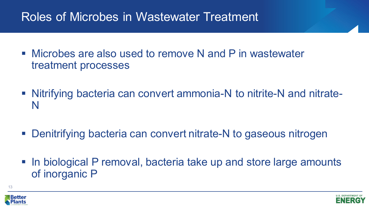## Roles of Microbes in Wastewater Treatment

- Microbes are also used to remove N and P in wastewater treatment processes
- Nitrifying bacteria can convert ammonia-N to nitrite-N and nitrate-N
- Denitrifying bacteria can convert nitrate-N to gaseous nitrogen
- In biological P removal, bacteria take up and store large amounts of inorganic P



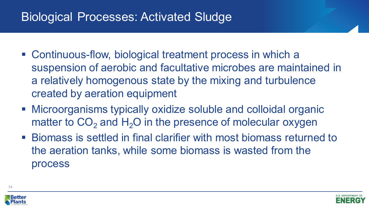## Biological Processes: Activated Sludge

- Continuous-flow, biological treatment process in which a suspension of aerobic and facultative microbes are maintained in a relatively homogenous state by the mixing and turbulence created by aeration equipment
- Microorganisms typically oxidize soluble and colloidal organic matter to  $CO<sub>2</sub>$  and H<sub>2</sub>O in the presence of molecular oxygen
- Biomass is settled in final clarifier with most biomass returned to the aeration tanks, while some biomass is wasted from the process



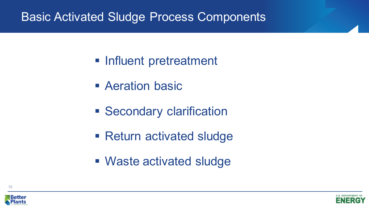#### Basic Activated Sludge Process Components

- **Influent pretreatment**
- **E** Aeration basic
- **Secondary clarification**
- Return activated sludge
- Waste activated sludge



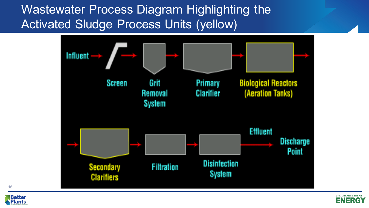Wastewater Process Diagram Highlighting the Activated Sludge Process Units (yellow)





16

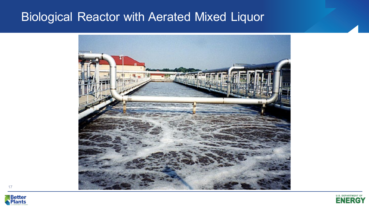#### Biological Reactor with Aerated Mixed Liquor







17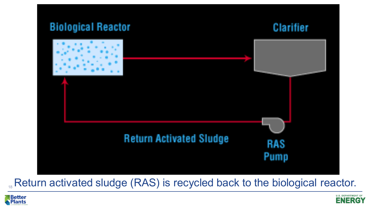

#### Return activated sludge (RAS) is recycled back to the biological reactor.



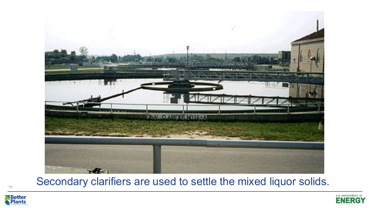

Secondary clarifiers are used to settle the mixed liquor solids.



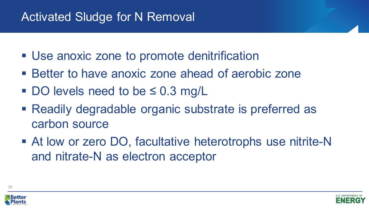## Activated Sludge for N Removal

- Use anoxic zone to promote denitrification
- Better to have anoxic zone ahead of aerobic zone
- DO levels need to be ≤ 0.3 mg/L
- Readily degradable organic substrate is preferred as carbon source
- At low or zero DO, facultative heterotrophs use nitrite-N and nitrate-N as electron acceptor



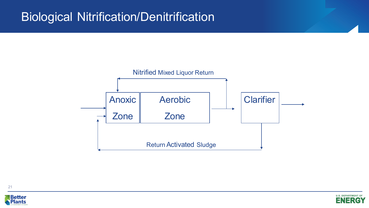#### Biological Nitrification/Denitrification







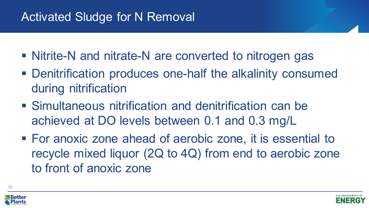## Activated Sludge for N Removal

- Nitrite-N and nitrate-N are converted to nitrogen gas
- Denitrification produces one-half the alkalinity consumed during nitrification
- Simultaneous nitrification and denitrification can be achieved at DO levels between 0.1 and 0.3 mg/L
- For anoxic zone ahead of aerobic zone, it is essential to recycle mixed liquor (2Q to 4Q) from end to aerobic zone to front of anoxic zone



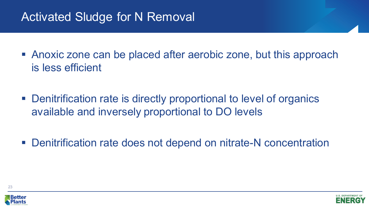## Activated Sludge for N Removal

- Anoxic zone can be placed after aerobic zone, but this approach is less efficient
- Denitrification rate is directly proportional to level of organics available and inversely proportional to DO levels
- Denitrification rate does not depend on nitrate-N concentration



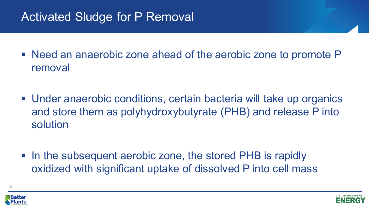## Activated Sludge for P Removal

- Need an anaerobic zone ahead of the aerobic zone to promote P removal
- Under anaerobic conditions, certain bacteria will take up organics and store them as polyhydroxybutyrate (PHB) and release P into solution
- In the subsequent aerobic zone, the stored PHB is rapidly oxidized with significant uptake of dissolved P into cell mass



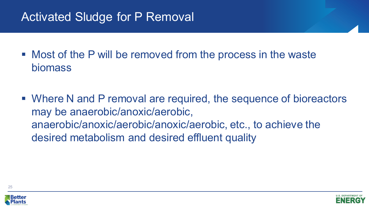## Activated Sludge for P Removal

- Most of the P will be removed from the process in the waste biomass
- Where N and P removal are required, the sequence of bioreactors may be anaerobic/anoxic/aerobic, anaerobic/anoxic/aerobic/anoxic/aerobic, etc., to achieve the desired metabolism and desired effluent quality